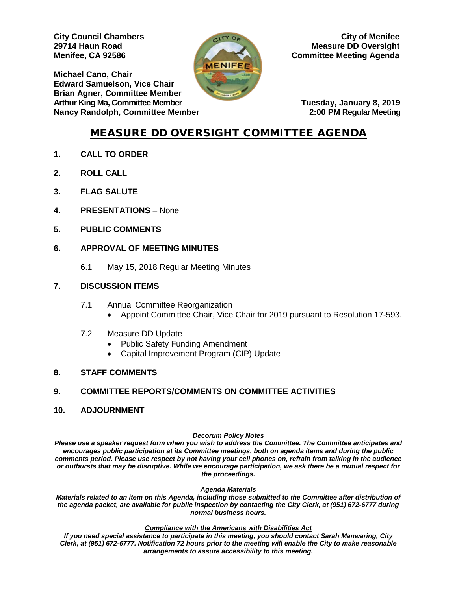**Michael Cano, Chair Edward Samuelson, Vice Chair Brian Agner, Committee Member Arthur King Ma, Committee Member Number Arthur King Manuary 8, 2019 Nancy Randolph, Committee Member 2:00 PM Regular Meeting** 



**City Council Chambers** City of Menifee **29714 Haun Road Measure DD Oversight Menifee, CA 92586 Committee Meeting Agenda** 

# MEASURE DD OVERSIGHT COMMITTEE AGENDA

- **1. CALL TO ORDER**
- **2. ROLL CALL**
- **3. FLAG SALUTE**
- **4. PRESENTATIONS** None
- **5. PUBLIC COMMENTS**

## **6. APPROVAL OF MEETING MINUTES**

6.1 May 15, 2018 Regular Meeting Minutes

#### **7. DISCUSSION ITEMS**

- 7.1 Annual Committee Reorganization
	- Appoint Committee Chair, Vice Chair for 2019 pursuant to Resolution 17-593.
- 7.2 Measure DD Update
	- Public Safety Funding Amendment
	- Capital Improvement Program (CIP) Update

#### **8. STAFF COMMENTS**

#### **9. COMMITTEE REPORTS/COMMENTS ON COMMITTEE ACTIVITIES**

#### **10. ADJOURNMENT**

#### *Decorum Policy Notes*

*Please use a speaker request form when you wish to address the Committee. The Committee anticipates and encourages public participation at its Committee meetings, both on agenda items and during the public comments period. Please use respect by not having your cell phones on, refrain from talking in the audience or outbursts that may be disruptive. While we encourage participation, we ask there be a mutual respect for the proceedings.*

#### *Agenda Materials*

*Materials related to an item on this Agenda, including those submitted to the Committee after distribution of the agenda packet, are available for public inspection by contacting the City Clerk, at (951) 672-6777 during normal business hours.* 

#### *Compliance with the Americans with Disabilities Act*

*If you need special assistance to participate in this meeting, you should contact Sarah Manwaring, City Clerk, at (951) 672-6777. Notification 72 hours prior to the meeting will enable the City to make reasonable arrangements to assure accessibility to this meeting.*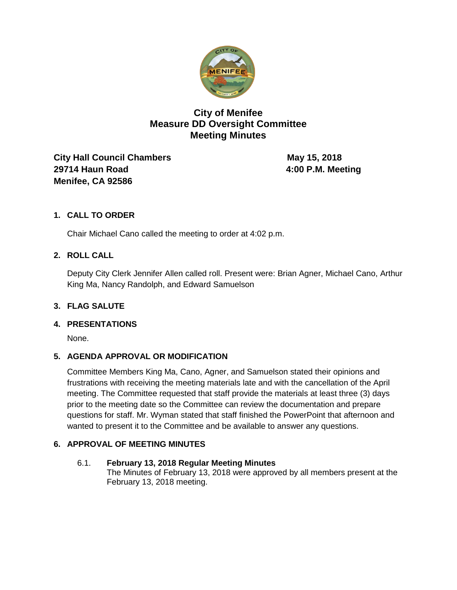

# **City of Menifee Measure DD Oversight Committee Meeting Minutes**

**City Hall Council Chambers May 15, 2018 29714 Haun Road 4:00 P.M. Meeting Menifee, CA 92586** 

# **1. CALL TO ORDER**

Chair Michael Cano called the meeting to order at 4:02 p.m.

## **2. ROLL CALL**

Deputy City Clerk Jennifer Allen called roll. Present were: Brian Agner, Michael Cano, Arthur King Ma, Nancy Randolph, and Edward Samuelson

#### **3. FLAG SALUTE**

#### **4. PRESENTATIONS**

None.

## **5. AGENDA APPROVAL OR MODIFICATION**

Committee Members King Ma, Cano, Agner, and Samuelson stated their opinions and frustrations with receiving the meeting materials late and with the cancellation of the April meeting. The Committee requested that staff provide the materials at least three (3) days prior to the meeting date so the Committee can review the documentation and prepare questions for staff. Mr. Wyman stated that staff finished the PowerPoint that afternoon and wanted to present it to the Committee and be available to answer any questions.

## **6. APPROVAL OF MEETING MINUTES**

## 6.1. **February 13, 2018 Regular Meeting Minutes**

The Minutes of February 13, 2018 were approved by all members present at the February 13, 2018 meeting.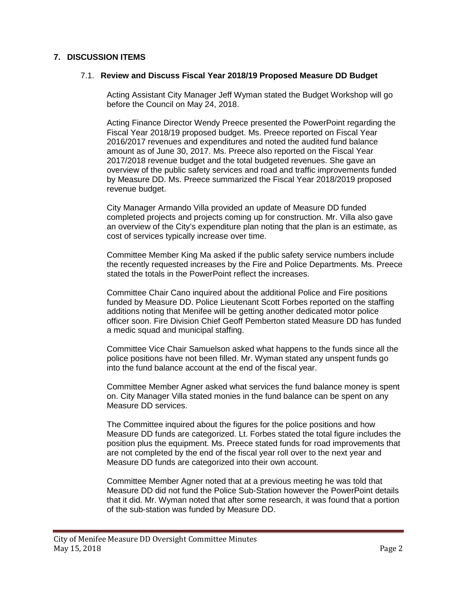### **7. DISCUSSION ITEMS**

#### 7.1. **Review and Discuss Fiscal Year 2018/19 Proposed Measure DD Budget**

Acting Assistant City Manager Jeff Wyman stated the Budget Workshop will go before the Council on May 24, 2018.

Acting Finance Director Wendy Preece presented the PowerPoint regarding the Fiscal Year 2018/19 proposed budget. Ms. Preece reported on Fiscal Year 2016/2017 revenues and expenditures and noted the audited fund balance amount as of June 30, 2017. Ms. Preece also reported on the Fiscal Year 2017/2018 revenue budget and the total budgeted revenues. She gave an overview of the public safety services and road and traffic improvements funded by Measure DD. Ms. Preece summarized the Fiscal Year 2018/2019 proposed revenue budget.

City Manager Armando Villa provided an update of Measure DD funded completed projects and projects coming up for construction. Mr. Villa also gave an overview of the City's expenditure plan noting that the plan is an estimate, as cost of services typically increase over time.

Committee Member King Ma asked if the public safety service numbers include the recently requested increases by the Fire and Police Departments. Ms. Preece stated the totals in the PowerPoint reflect the increases.

Committee Chair Cano inquired about the additional Police and Fire positions funded by Measure DD. Police Lieutenant Scott Forbes reported on the staffing additions noting that Menifee will be getting another dedicated motor police officer soon. Fire Division Chief Geoff Pemberton stated Measure DD has funded a medic squad and municipal staffing.

Committee Vice Chair Samuelson asked what happens to the funds since all the police positions have not been filled. Mr. Wyman stated any unspent funds go into the fund balance account at the end of the fiscal year.

Committee Member Agner asked what services the fund balance money is spent on. City Manager Villa stated monies in the fund balance can be spent on any Measure DD services.

The Committee inquired about the figures for the police positions and how Measure DD funds are categorized. Lt. Forbes stated the total figure includes the position plus the equipment. Ms. Preece stated funds for road improvements that are not completed by the end of the fiscal year roll over to the next year and Measure DD funds are categorized into their own account.

Committee Member Agner noted that at a previous meeting he was told that Measure DD did not fund the Police Sub-Station however the PowerPoint details that it did. Mr. Wyman noted that after some research, it was found that a portion of the sub-station was funded by Measure DD.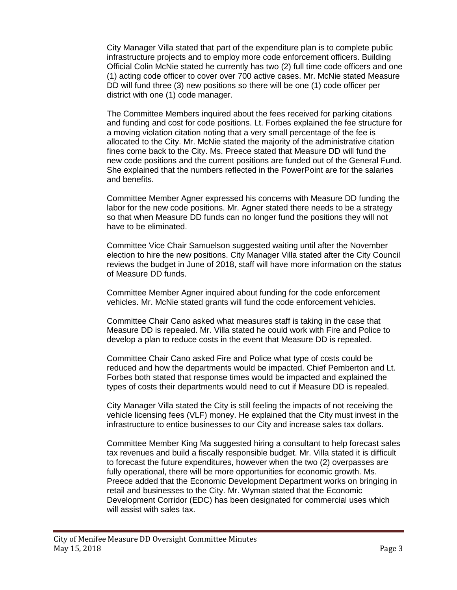City Manager Villa stated that part of the expenditure plan is to complete public infrastructure projects and to employ more code enforcement officers. Building Official Colin McNie stated he currently has two (2) full time code officers and one (1) acting code officer to cover over 700 active cases. Mr. McNie stated Measure DD will fund three (3) new positions so there will be one (1) code officer per district with one (1) code manager.

The Committee Members inquired about the fees received for parking citations and funding and cost for code positions. Lt. Forbes explained the fee structure for a moving violation citation noting that a very small percentage of the fee is allocated to the City. Mr. McNie stated the majority of the administrative citation fines come back to the City. Ms. Preece stated that Measure DD will fund the new code positions and the current positions are funded out of the General Fund. She explained that the numbers reflected in the PowerPoint are for the salaries and benefits.

Committee Member Agner expressed his concerns with Measure DD funding the labor for the new code positions. Mr. Agner stated there needs to be a strategy so that when Measure DD funds can no longer fund the positions they will not have to be eliminated.

Committee Vice Chair Samuelson suggested waiting until after the November election to hire the new positions. City Manager Villa stated after the City Council reviews the budget in June of 2018, staff will have more information on the status of Measure DD funds.

Committee Member Agner inquired about funding for the code enforcement vehicles. Mr. McNie stated grants will fund the code enforcement vehicles.

Committee Chair Cano asked what measures staff is taking in the case that Measure DD is repealed. Mr. Villa stated he could work with Fire and Police to develop a plan to reduce costs in the event that Measure DD is repealed.

Committee Chair Cano asked Fire and Police what type of costs could be reduced and how the departments would be impacted. Chief Pemberton and Lt. Forbes both stated that response times would be impacted and explained the types of costs their departments would need to cut if Measure DD is repealed.

City Manager Villa stated the City is still feeling the impacts of not receiving the vehicle licensing fees (VLF) money. He explained that the City must invest in the infrastructure to entice businesses to our City and increase sales tax dollars.

Committee Member King Ma suggested hiring a consultant to help forecast sales tax revenues and build a fiscally responsible budget. Mr. Villa stated it is difficult to forecast the future expenditures, however when the two (2) overpasses are fully operational, there will be more opportunities for economic growth. Ms. Preece added that the Economic Development Department works on bringing in retail and businesses to the City. Mr. Wyman stated that the Economic Development Corridor (EDC) has been designated for commercial uses which will assist with sales tax.